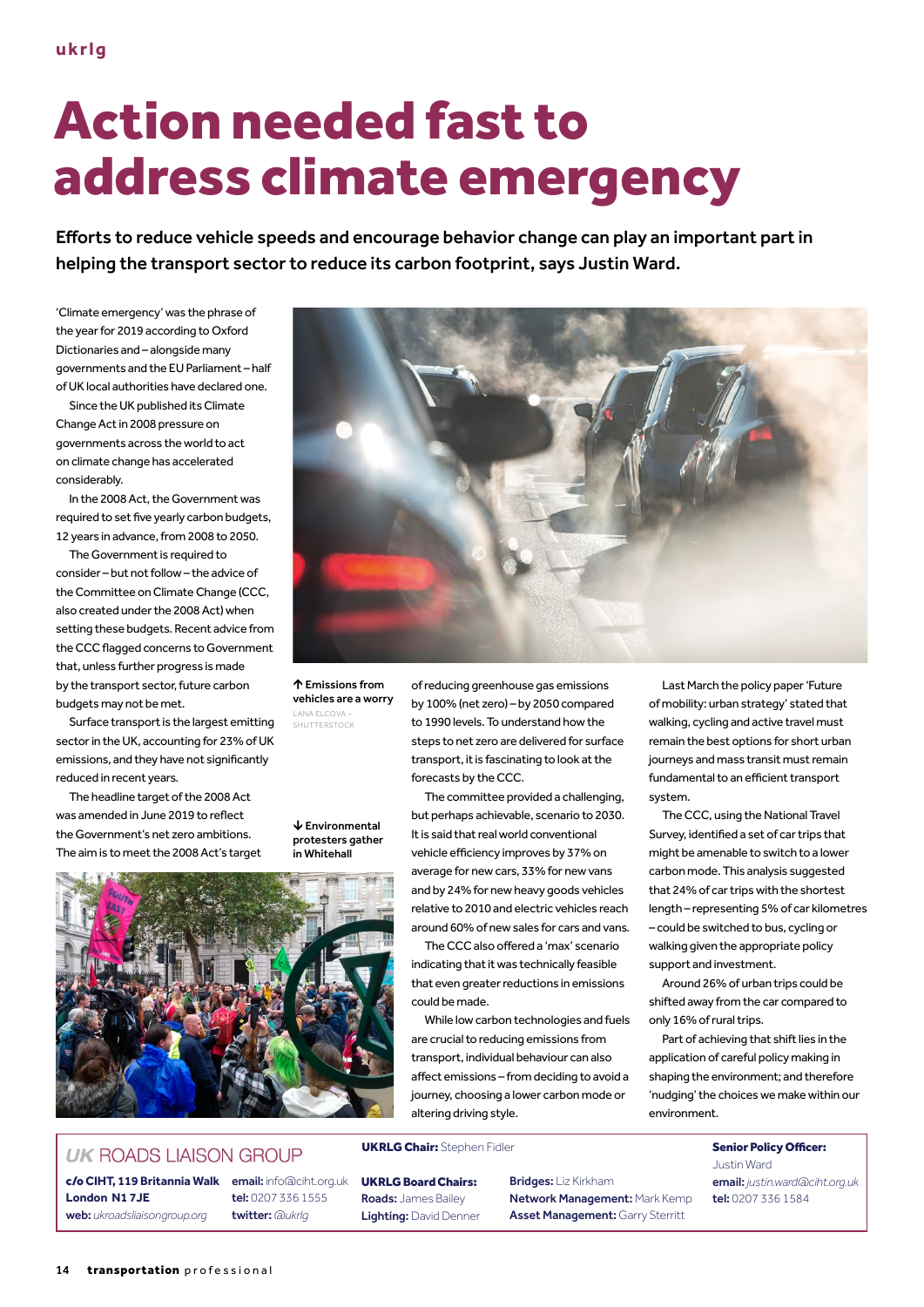# Action needed fast to address climate emergency

Efforts to reduce vehicle speeds and encourage behavior change can play an important part in helping the transport sector to reduce its carbon footprint, says Justin Ward.

'Climate emergency' was the phrase of the year for 2019 according to Oxford Dictionaries and – alongside many governments and the EU Parliament – half of UK local authorities have declared one.

Since the UK published its Climate Change Act in 2008 pressure on governments across the world to act on climate change has accelerated considerably.

In the 2008 Act, the Government was required to set five yearly carbon budgets, 12 years in advance, from 2008 to 2050.

The Government is required to consider – but not follow – the advice of the Committee on Climate Change (CCC, also created under the 2008 Act) when setting these budgets. Recent advice from the CCC flagged concerns to Government that, unless further progress is made by the transport sector, future carbon budgets may not be met.

Surface transport is the largest emitting sector in the UK, accounting for 23% of UK emissions, and they have not significantly reduced in recent years.

The headline target of the 2008 Act was amended in June 2019 to reflect the Government's net zero ambitions. The aim is to meet the 2008 Act's target



 Emissions from vehicles are a worry LANA ELCOVA – SHUTTERSTOCK

#### Environmental protesters gather in Whitehall

### **UK ROADS LIAISON GROUP**

**London N1 7JE** web: *ukroadsliaisongroup.org* tel: 0207 336 1555 twitter: *@ukrlg*

of reducing greenhouse gas emissions by 100% (net zero) – by 2050 compared to 1990 levels. To understand how the steps to net zero are delivered for surface transport, it is fascinating to look at the forecasts by the CCC.

The committee provided a challenging, but perhaps achievable, scenario to 2030. It is said that real world conventional vehicle efficiency improves by 37% on average for new cars, 33% for new vans and by 24% for new heavy goods vehicles relative to 2010 and electric vehicles reach around 60% of new sales for cars and vans.

The CCC also offered a 'max' scenario indicating that it was technically feasible that even greater reductions in emissions could be made.

While low carbon technologies and fuels are crucial to reducing emissions from transport, individual behaviour can also affect emissions – from deciding to avoid a journey, choosing a lower carbon mode or altering driving style.

UKRLG Chair: Stephen Fidler Senior Policy Officer:

UKRLG Board Chairs: Roads: James Bailey Lighting: David Denner Bridges: Liz Kirkham Network Management: Mark Kemp Asset Management: Garry Sterritt

Last March the policy paper 'Future of mobility: urban strategy' stated that walking, cycling and active travel must remain the best options for short urban journeys and mass transit must remain fundamental to an efficient transport system.

The CCC, using the National Travel Survey, identified a set of car trips that might be amenable to switch to a lower carbon mode. This analysis suggested that 24% of car trips with the shortest length – representing 5% of car kilometres – could be switched to bus, cycling or walking given the appropriate policy support and investment.

Around 26% of urban trips could be shifted away from the car compared to only 16% of rural trips.

Part of achieving that shift lies in the application of careful policy making in shaping the environment; and therefore 'nudging' the choices we make within our environment.

> Justin Ward email: *justin.ward@ciht.org.uk* tel: 0207 336 1584

## c/o **CIHT, 119 Britannia Walk** email: info@ciht.org.uk